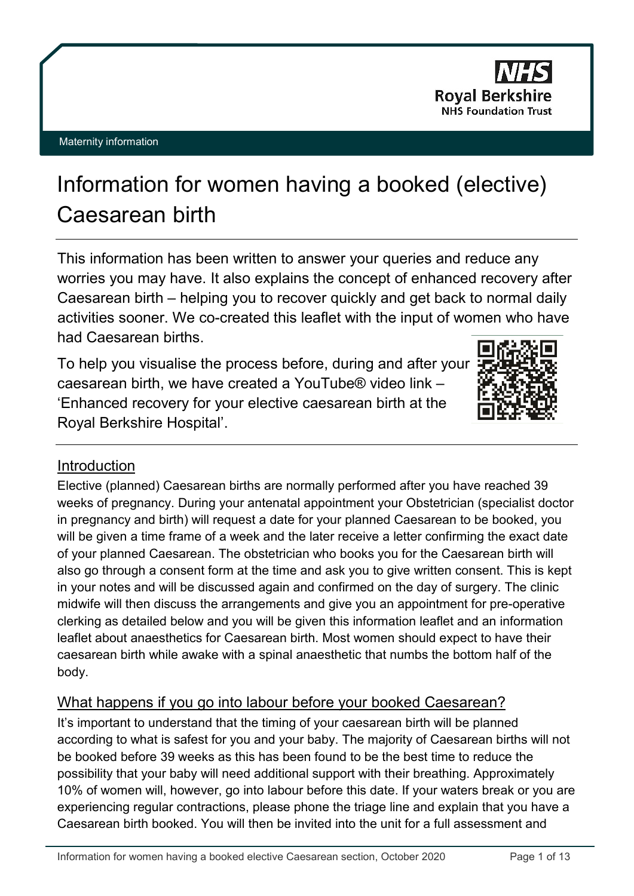

# Information for women having a booked (elective) Caesarean birth

This information has been written to answer your queries and reduce any worries you may have. It also explains the concept of enhanced recovery after Caesarean birth – helping you to recover quickly and get back to normal daily activities sooner. We co-created this leaflet with the input of women who have had Caesarean births.

To help you visualise the process before, during and after your caesarean birth, we have created a YouTube® video link – 'Enhanced recovery for your elective caesarean birth at the Royal Berkshire Hospital'.



# **Introduction**

Elective (planned) Caesarean births are normally performed after you have reached 39 weeks of pregnancy. During your antenatal appointment your Obstetrician (specialist doctor in pregnancy and birth) will request a date for your planned Caesarean to be booked, you will be given a time frame of a week and the later receive a letter confirming the exact date of your planned Caesarean. The obstetrician who books you for the Caesarean birth will also go through a consent form at the time and ask you to give written consent. This is kept in your notes and will be discussed again and confirmed on the day of surgery. The clinic midwife will then discuss the arrangements and give you an appointment for pre-operative clerking as detailed below and you will be given this information leaflet and an information leaflet about anaesthetics for Caesarean birth. Most women should expect to have their caesarean birth while awake with a spinal anaesthetic that numbs the bottom half of the body.

# What happens if you go into labour before your booked Caesarean?

It's important to understand that the timing of your caesarean birth will be planned according to what is safest for you and your baby. The majority of Caesarean births will not be booked before 39 weeks as this has been found to be the best time to reduce the possibility that your baby will need additional support with their breathing. Approximately 10% of women will, however, go into labour before this date. If your waters break or you are experiencing regular contractions, please phone the triage line and explain that you have a Caesarean birth booked. You will then be invited into the unit for a full assessment and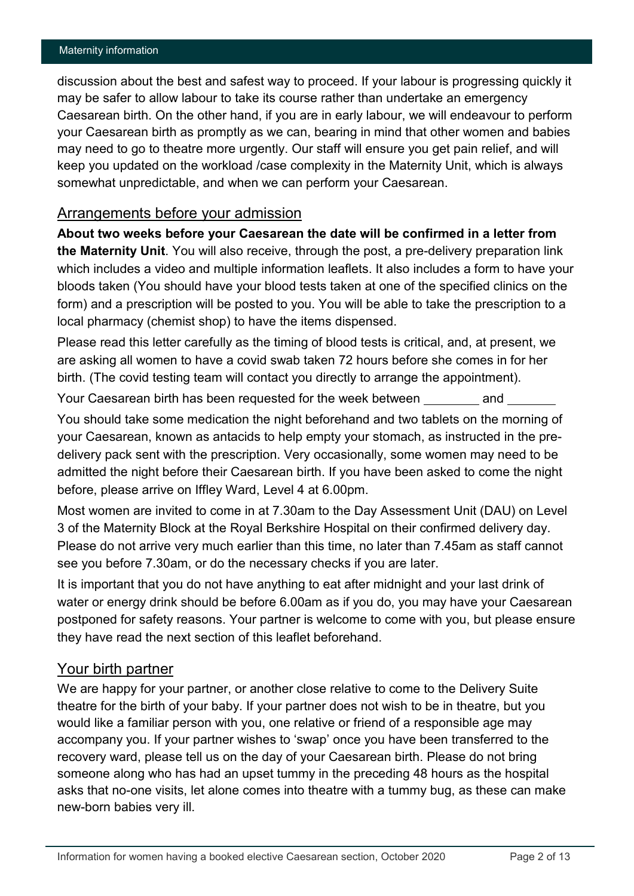discussion about the best and safest way to proceed. If your labour is progressing quickly it may be safer to allow labour to take its course rather than undertake an emergency Caesarean birth. On the other hand, if you are in early labour, we will endeavour to perform your Caesarean birth as promptly as we can, bearing in mind that other women and babies may need to go to theatre more urgently. Our staff will ensure you get pain relief, and will keep you updated on the workload /case complexity in the Maternity Unit, which is always somewhat unpredictable, and when we can perform your Caesarean.

## Arrangements before your admission

**About two weeks before your Caesarean the date will be confirmed in a letter from the Maternity Unit**. You will also receive, through the post, a pre-delivery preparation link which includes a video and multiple information leaflets. It also includes a form to have your bloods taken (You should have your blood tests taken at one of the specified clinics on the form) and a prescription will be posted to you. You will be able to take the prescription to a local pharmacy (chemist shop) to have the items dispensed.

Please read this letter carefully as the timing of blood tests is critical, and, at present, we are asking all women to have a covid swab taken 72 hours before she comes in for her birth. (The covid testing team will contact you directly to arrange the appointment).

Your Caesarean birth has been requested for the week between and

You should take some medication the night beforehand and two tablets on the morning of your Caesarean, known as antacids to help empty your stomach, as instructed in the predelivery pack sent with the prescription. Very occasionally, some women may need to be admitted the night before their Caesarean birth. If you have been asked to come the night before, please arrive on Iffley Ward, Level 4 at 6.00pm.

Most women are invited to come in at 7.30am to the Day Assessment Unit (DAU) on Level 3 of the Maternity Block at the Royal Berkshire Hospital on their confirmed delivery day. Please do not arrive very much earlier than this time, no later than 7.45am as staff cannot see you before 7.30am, or do the necessary checks if you are later.

It is important that you do not have anything to eat after midnight and your last drink of water or energy drink should be before 6.00am as if you do, you may have your Caesarean postponed for safety reasons. Your partner is welcome to come with you, but please ensure they have read the next section of this leaflet beforehand.

## Your birth partner

We are happy for your partner, or another close relative to come to the Delivery Suite theatre for the birth of your baby. If your partner does not wish to be in theatre, but you would like a familiar person with you, one relative or friend of a responsible age may accompany you. If your partner wishes to 'swap' once you have been transferred to the recovery ward, please tell us on the day of your Caesarean birth. Please do not bring someone along who has had an upset tummy in the preceding 48 hours as the hospital asks that no-one visits, let alone comes into theatre with a tummy bug, as these can make new-born babies very ill.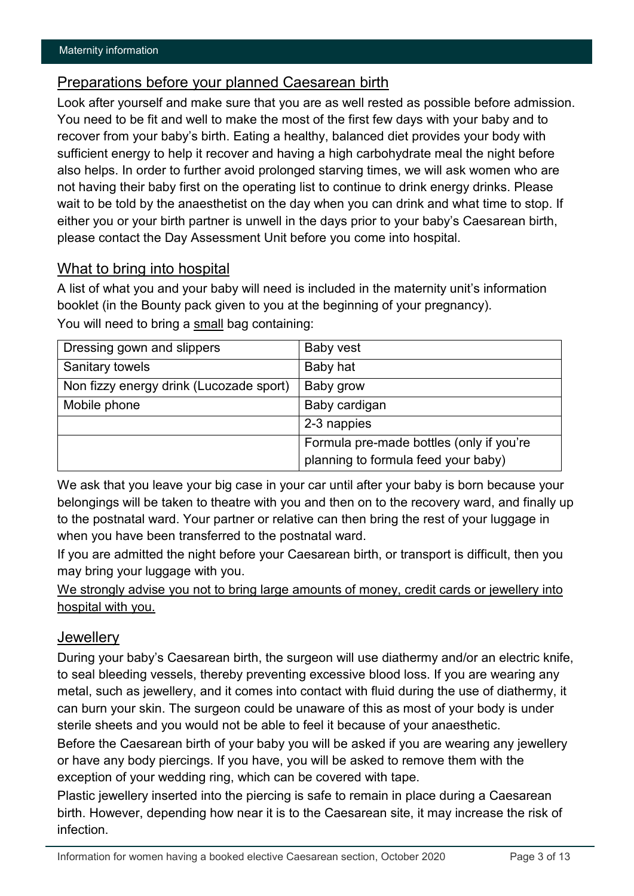## Preparations before your planned Caesarean birth

Look after yourself and make sure that you are as well rested as possible before admission. You need to be fit and well to make the most of the first few days with your baby and to recover from your baby's birth. Eating a healthy, balanced diet provides your body with sufficient energy to help it recover and having a high carbohydrate meal the night before also helps. In order to further avoid prolonged starving times, we will ask women who are not having their baby first on the operating list to continue to drink energy drinks. Please wait to be told by the anaesthetist on the day when you can drink and what time to stop. If either you or your birth partner is unwell in the days prior to your baby's Caesarean birth, please contact the Day Assessment Unit before you come into hospital.

## What to bring into hospital

A list of what you and your baby will need is included in the maternity unit's information booklet (in the Bounty pack given to you at the beginning of your pregnancy).

| Dressing gown and slippers              | Baby vest                                |
|-----------------------------------------|------------------------------------------|
| Sanitary towels                         | Baby hat                                 |
| Non fizzy energy drink (Lucozade sport) | Baby grow                                |
| Mobile phone                            | Baby cardigan                            |
|                                         | 2-3 nappies                              |
|                                         | Formula pre-made bottles (only if you're |
|                                         | planning to formula feed your baby)      |

You will need to bring a small bag containing:

We ask that you leave your big case in your car until after your baby is born because your belongings will be taken to theatre with you and then on to the recovery ward, and finally up to the postnatal ward. Your partner or relative can then bring the rest of your luggage in when you have been transferred to the postnatal ward.

If you are admitted the night before your Caesarean birth, or transport is difficult, then you may bring your luggage with you.

## We strongly advise you not to bring large amounts of money, credit cards or jewellery into hospital with you.

## **Jewellerv**

During your baby's Caesarean birth, the surgeon will use diathermy and/or an electric knife, to seal bleeding vessels, thereby preventing excessive blood loss. If you are wearing any metal, such as jewellery, and it comes into contact with fluid during the use of diathermy, it can burn your skin. The surgeon could be unaware of this as most of your body is under sterile sheets and you would not be able to feel it because of your anaesthetic.

Before the Caesarean birth of your baby you will be asked if you are wearing any jewellery or have any body piercings. If you have, you will be asked to remove them with the exception of your wedding ring, which can be covered with tape.

Plastic jewellery inserted into the piercing is safe to remain in place during a Caesarean birth. However, depending how near it is to the Caesarean site, it may increase the risk of infection.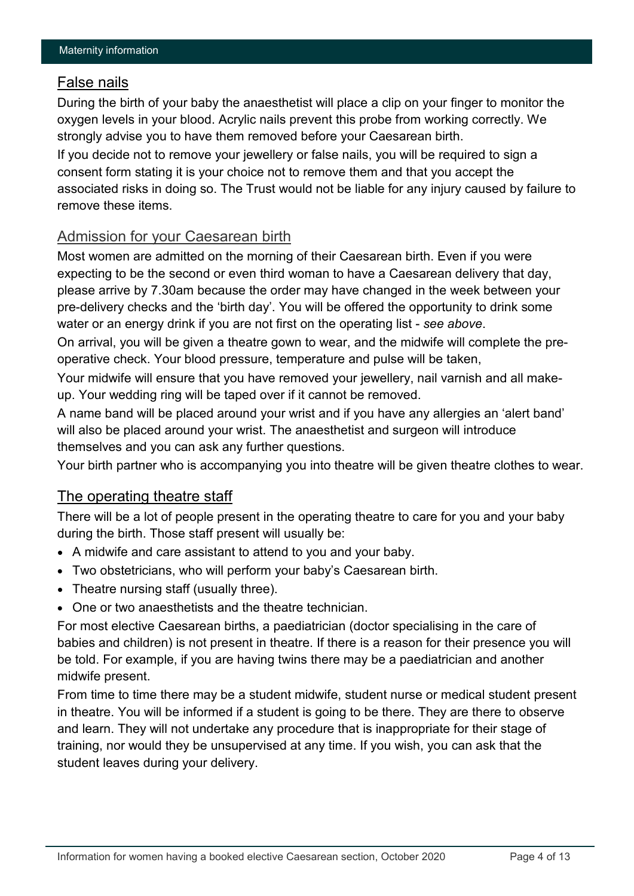## False nails

During the birth of your baby the anaesthetist will place a clip on your finger to monitor the oxygen levels in your blood. Acrylic nails prevent this probe from working correctly. We strongly advise you to have them removed before your Caesarean birth.

If you decide not to remove your jewellery or false nails, you will be required to sign a consent form stating it is your choice not to remove them and that you accept the associated risks in doing so. The Trust would not be liable for any injury caused by failure to remove these items.

## Admission for your Caesarean birth

Most women are admitted on the morning of their Caesarean birth. Even if you were expecting to be the second or even third woman to have a Caesarean delivery that day, please arrive by 7.30am because the order may have changed in the week between your pre-delivery checks and the 'birth day'. You will be offered the opportunity to drink some water or an energy drink if you are not first on the operating list - *see above*.

On arrival, you will be given a theatre gown to wear, and the midwife will complete the preoperative check. Your blood pressure, temperature and pulse will be taken,

Your midwife will ensure that you have removed your jewellery, nail varnish and all makeup. Your wedding ring will be taped over if it cannot be removed.

A name band will be placed around your wrist and if you have any allergies an 'alert band' will also be placed around your wrist. The anaesthetist and surgeon will introduce themselves and you can ask any further questions.

Your birth partner who is accompanying you into theatre will be given theatre clothes to wear.

## The operating theatre staff

There will be a lot of people present in the operating theatre to care for you and your baby during the birth. Those staff present will usually be:

- A midwife and care assistant to attend to you and your baby.
- Two obstetricians, who will perform your baby's Caesarean birth.
- Theatre nursing staff (usually three).
- One or two anaesthetists and the theatre technician.

For most elective Caesarean births, a paediatrician (doctor specialising in the care of babies and children) is not present in theatre. If there is a reason for their presence you will be told. For example, if you are having twins there may be a paediatrician and another midwife present.

From time to time there may be a student midwife, student nurse or medical student present in theatre. You will be informed if a student is going to be there. They are there to observe and learn. They will not undertake any procedure that is inappropriate for their stage of training, nor would they be unsupervised at any time. If you wish, you can ask that the student leaves during your delivery.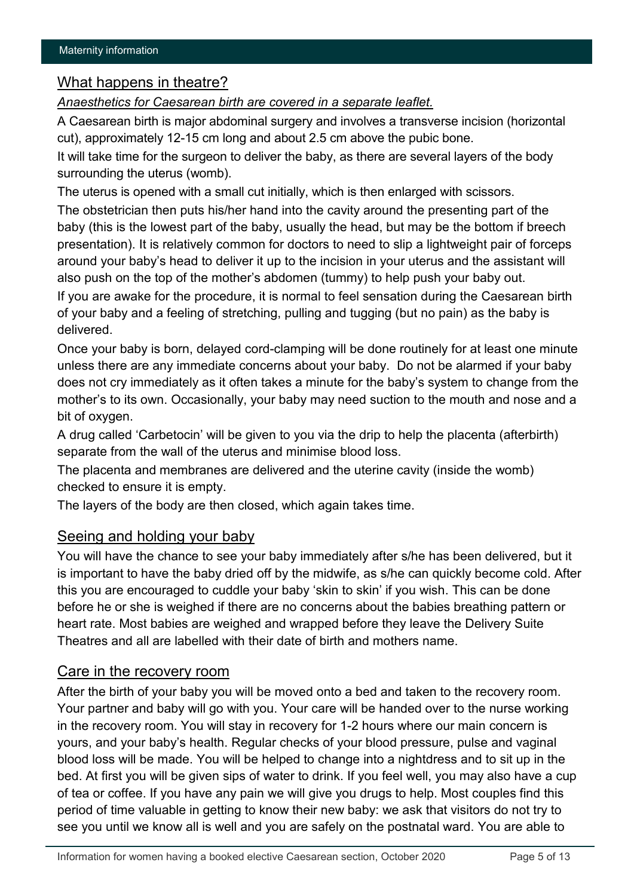## What happens in theatre?

*Anaesthetics for Caesarean birth are covered in a separate leaflet.*

A Caesarean birth is major abdominal surgery and involves a transverse incision (horizontal cut), approximately 12-15 cm long and about 2.5 cm above the pubic bone.

It will take time for the surgeon to deliver the baby, as there are several layers of the body surrounding the uterus (womb).

The uterus is opened with a small cut initially, which is then enlarged with scissors.

The obstetrician then puts his/her hand into the cavity around the presenting part of the baby (this is the lowest part of the baby, usually the head, but may be the bottom if breech presentation). It is relatively common for doctors to need to slip a lightweight pair of forceps around your baby's head to deliver it up to the incision in your uterus and the assistant will also push on the top of the mother's abdomen (tummy) to help push your baby out.

If you are awake for the procedure, it is normal to feel sensation during the Caesarean birth of your baby and a feeling of stretching, pulling and tugging (but no pain) as the baby is delivered.

Once your baby is born, delayed cord-clamping will be done routinely for at least one minute unless there are any immediate concerns about your baby. Do not be alarmed if your baby does not cry immediately as it often takes a minute for the baby's system to change from the mother's to its own. Occasionally, your baby may need suction to the mouth and nose and a bit of oxygen.

A drug called 'Carbetocin' will be given to you via the drip to help the placenta (afterbirth) separate from the wall of the uterus and minimise blood loss.

The placenta and membranes are delivered and the uterine cavity (inside the womb) checked to ensure it is empty.

The layers of the body are then closed, which again takes time.

## Seeing and holding your baby

You will have the chance to see your baby immediately after s/he has been delivered, but it is important to have the baby dried off by the midwife, as s/he can quickly become cold. After this you are encouraged to cuddle your baby 'skin to skin' if you wish. This can be done before he or she is weighed if there are no concerns about the babies breathing pattern or heart rate. Most babies are weighed and wrapped before they leave the Delivery Suite Theatres and all are labelled with their date of birth and mothers name.

#### Care in the recovery room

After the birth of your baby you will be moved onto a bed and taken to the recovery room. Your partner and baby will go with you. Your care will be handed over to the nurse working in the recovery room. You will stay in recovery for 1-2 hours where our main concern is yours, and your baby's health. Regular checks of your blood pressure, pulse and vaginal blood loss will be made. You will be helped to change into a nightdress and to sit up in the bed. At first you will be given sips of water to drink. If you feel well, you may also have a cup of tea or coffee. If you have any pain we will give you drugs to help. Most couples find this period of time valuable in getting to know their new baby: we ask that visitors do not try to see you until we know all is well and you are safely on the postnatal ward. You are able to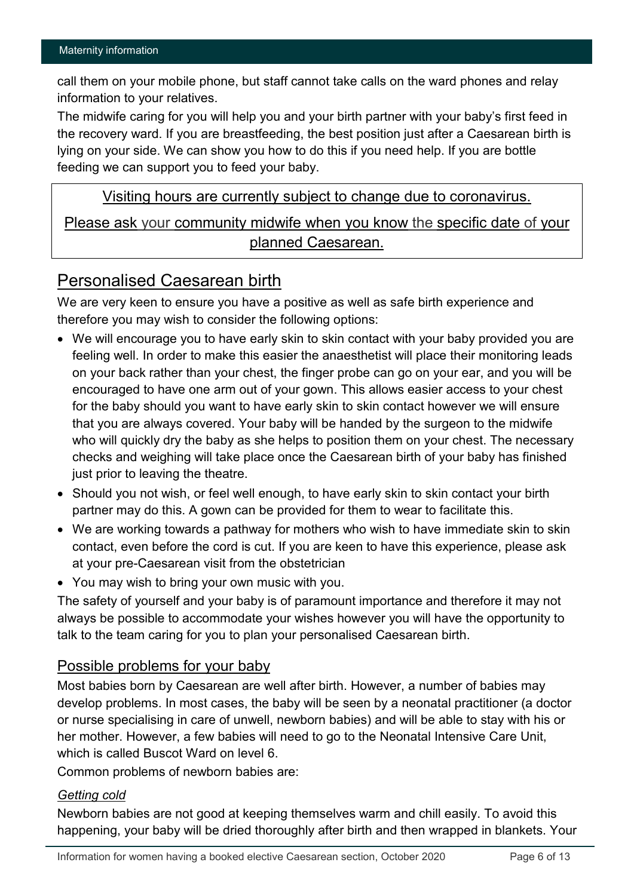call them on your mobile phone, but staff cannot take calls on the ward phones and relay information to your relatives.

The midwife caring for you will help you and your birth partner with your baby's first feed in the recovery ward. If you are breastfeeding, the best position just after a Caesarean birth is lying on your side. We can show you how to do this if you need help. If you are bottle feeding we can support you to feed your baby.

Visiting hours are currently subject to change due to coronavirus.

Please ask your community midwife when you know the specific date of your planned Caesarean.

# Personalised Caesarean birth

We are very keen to ensure you have a positive as well as safe birth experience and therefore you may wish to consider the following options:

- We will encourage you to have early skin to skin contact with your baby provided you are feeling well. In order to make this easier the anaesthetist will place their monitoring leads on your back rather than your chest, the finger probe can go on your ear, and you will be encouraged to have one arm out of your gown. This allows easier access to your chest for the baby should you want to have early skin to skin contact however we will ensure that you are always covered. Your baby will be handed by the surgeon to the midwife who will quickly dry the baby as she helps to position them on your chest. The necessary checks and weighing will take place once the Caesarean birth of your baby has finished just prior to leaving the theatre.
- Should you not wish, or feel well enough, to have early skin to skin contact your birth partner may do this. A gown can be provided for them to wear to facilitate this.
- We are working towards a pathway for mothers who wish to have immediate skin to skin contact, even before the cord is cut. If you are keen to have this experience, please ask at your pre-Caesarean visit from the obstetrician
- You may wish to bring your own music with you.

The safety of yourself and your baby is of paramount importance and therefore it may not always be possible to accommodate your wishes however you will have the opportunity to talk to the team caring for you to plan your personalised Caesarean birth.

## Possible problems for your baby

Most babies born by Caesarean are well after birth. However, a number of babies may develop problems. In most cases, the baby will be seen by a neonatal practitioner (a doctor or nurse specialising in care of unwell, newborn babies) and will be able to stay with his or her mother. However, a few babies will need to go to the Neonatal Intensive Care Unit, which is called Buscot Ward on level 6.

Common problems of newborn babies are:

#### *Getting cold*

Newborn babies are not good at keeping themselves warm and chill easily. To avoid this happening, your baby will be dried thoroughly after birth and then wrapped in blankets. Your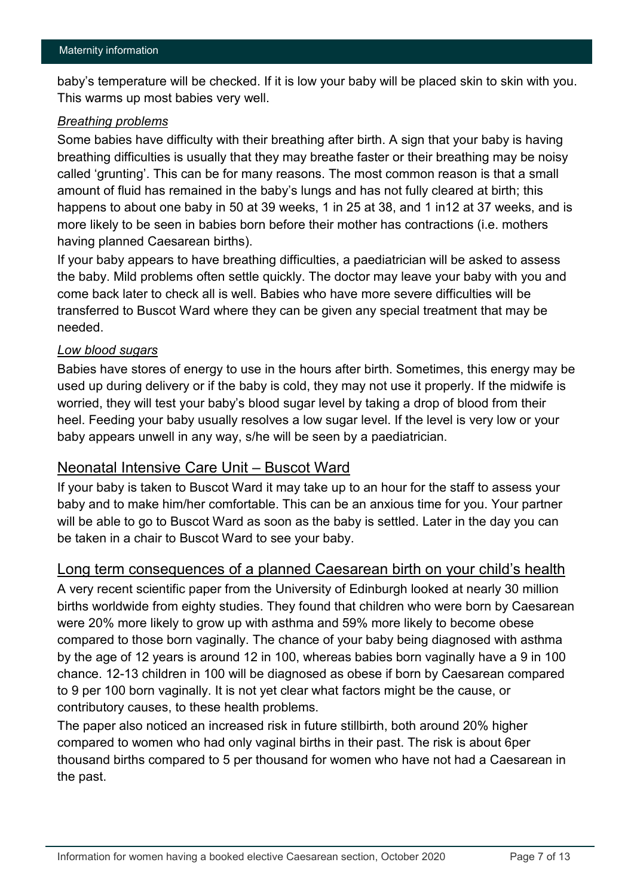baby's temperature will be checked. If it is low your baby will be placed skin to skin with you. This warms up most babies very well.

#### *Breathing problems*

Some babies have difficulty with their breathing after birth. A sign that your baby is having breathing difficulties is usually that they may breathe faster or their breathing may be noisy called 'grunting'. This can be for many reasons. The most common reason is that a small amount of fluid has remained in the baby's lungs and has not fully cleared at birth; this happens to about one baby in 50 at 39 weeks, 1 in 25 at 38, and 1 in12 at 37 weeks, and is more likely to be seen in babies born before their mother has contractions (i.e. mothers having planned Caesarean births).

If your baby appears to have breathing difficulties, a paediatrician will be asked to assess the baby. Mild problems often settle quickly. The doctor may leave your baby with you and come back later to check all is well. Babies who have more severe difficulties will be transferred to Buscot Ward where they can be given any special treatment that may be needed.

#### *Low blood sugars*

Babies have stores of energy to use in the hours after birth. Sometimes, this energy may be used up during delivery or if the baby is cold, they may not use it properly. If the midwife is worried, they will test your baby's blood sugar level by taking a drop of blood from their heel. Feeding your baby usually resolves a low sugar level. If the level is very low or your baby appears unwell in any way, s/he will be seen by a paediatrician.

#### Neonatal Intensive Care Unit – Buscot Ward

If your baby is taken to Buscot Ward it may take up to an hour for the staff to assess your baby and to make him/her comfortable. This can be an anxious time for you. Your partner will be able to go to Buscot Ward as soon as the baby is settled. Later in the day you can be taken in a chair to Buscot Ward to see your baby.

#### Long term consequences of a planned Caesarean birth on your child's health

A very recent scientific paper from the University of Edinburgh looked at nearly 30 million births worldwide from eighty studies. They found that children who were born by Caesarean were 20% more likely to grow up with asthma and 59% more likely to become obese compared to those born vaginally. The chance of your baby being diagnosed with asthma by the age of 12 years is around 12 in 100, whereas babies born vaginally have a 9 in 100 chance. 12-13 children in 100 will be diagnosed as obese if born by Caesarean compared to 9 per 100 born vaginally. It is not yet clear what factors might be the cause, or contributory causes, to these health problems.

The paper also noticed an increased risk in future stillbirth, both around 20% higher compared to women who had only vaginal births in their past. The risk is about 6per thousand births compared to 5 per thousand for women who have not had a Caesarean in the past.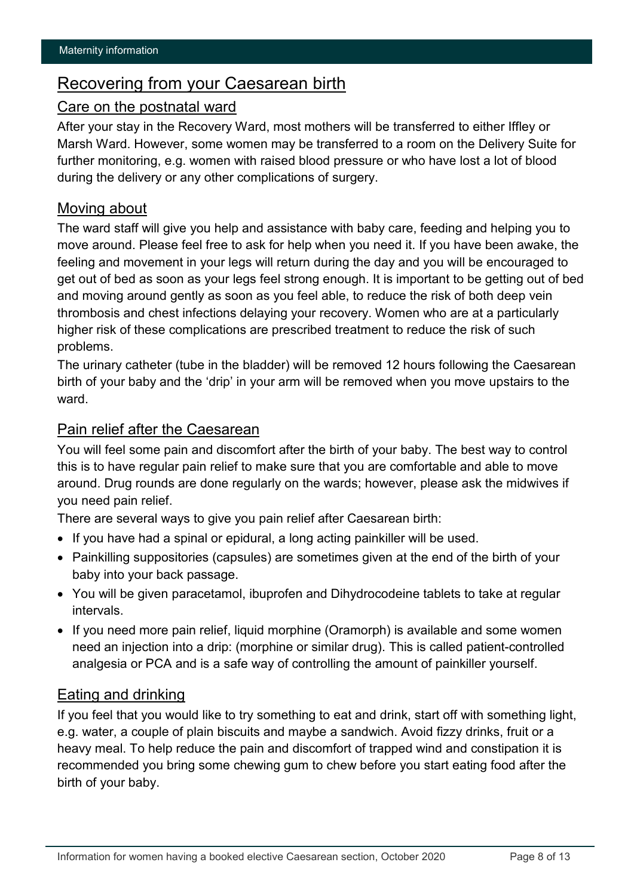# Recovering from your Caesarean birth

## Care on the postnatal ward

After your stay in the Recovery Ward, most mothers will be transferred to either Iffley or Marsh Ward. However, some women may be transferred to a room on the Delivery Suite for further monitoring, e.g. women with raised blood pressure or who have lost a lot of blood during the delivery or any other complications of surgery.

## Moving about

The ward staff will give you help and assistance with baby care, feeding and helping you to move around. Please feel free to ask for help when you need it. If you have been awake, the feeling and movement in your legs will return during the day and you will be encouraged to get out of bed as soon as your legs feel strong enough. It is important to be getting out of bed and moving around gently as soon as you feel able, to reduce the risk of both deep vein thrombosis and chest infections delaying your recovery. Women who are at a particularly higher risk of these complications are prescribed treatment to reduce the risk of such problems.

The urinary catheter (tube in the bladder) will be removed 12 hours following the Caesarean birth of your baby and the 'drip' in your arm will be removed when you move upstairs to the ward.

## Pain relief after the Caesarean

You will feel some pain and discomfort after the birth of your baby. The best way to control this is to have regular pain relief to make sure that you are comfortable and able to move around. Drug rounds are done regularly on the wards; however, please ask the midwives if you need pain relief.

There are several ways to give you pain relief after Caesarean birth:

- If you have had a spinal or epidural, a long acting painkiller will be used.
- Painkilling suppositories (capsules) are sometimes given at the end of the birth of your baby into your back passage.
- You will be given paracetamol, ibuprofen and Dihydrocodeine tablets to take at regular intervals.
- If you need more pain relief, liquid morphine (Oramorph) is available and some women need an injection into a drip: (morphine or similar drug). This is called patient-controlled analgesia or PCA and is a safe way of controlling the amount of painkiller yourself.

## Eating and drinking

If you feel that you would like to try something to eat and drink, start off with something light, e.g. water, a couple of plain biscuits and maybe a sandwich. Avoid fizzy drinks, fruit or a heavy meal. To help reduce the pain and discomfort of trapped wind and constipation it is recommended you bring some chewing gum to chew before you start eating food after the birth of your baby.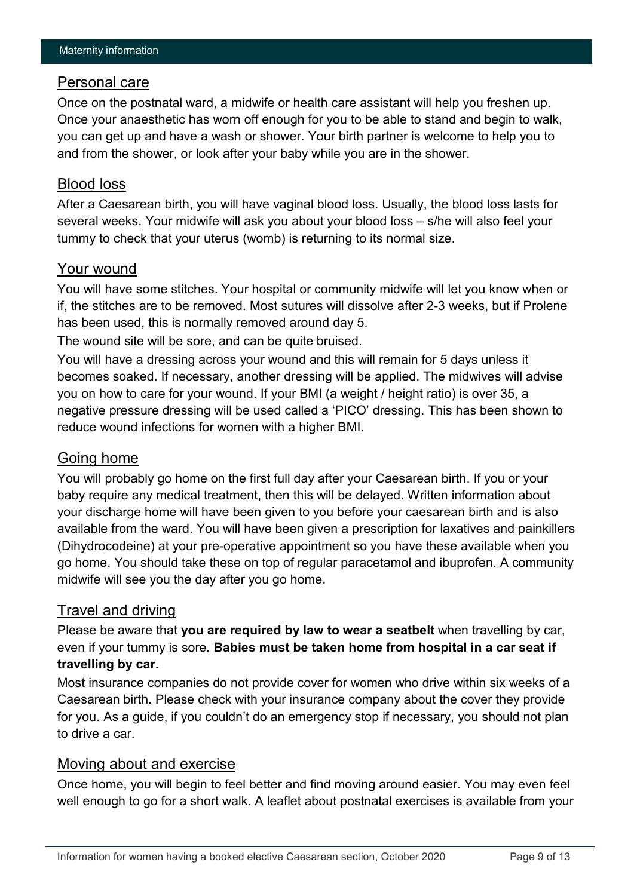#### Personal care

Once on the postnatal ward, a midwife or health care assistant will help you freshen up. Once your anaesthetic has worn off enough for you to be able to stand and begin to walk, you can get up and have a wash or shower. Your birth partner is welcome to help you to and from the shower, or look after your baby while you are in the shower.

## Blood loss

After a Caesarean birth, you will have vaginal blood loss. Usually, the blood loss lasts for several weeks. Your midwife will ask you about your blood loss – s/he will also feel your tummy to check that your uterus (womb) is returning to its normal size.

#### Your wound

You will have some stitches. Your hospital or community midwife will let you know when or if, the stitches are to be removed. Most sutures will dissolve after 2-3 weeks, but if Prolene has been used, this is normally removed around day 5.

The wound site will be sore, and can be quite bruised.

You will have a dressing across your wound and this will remain for 5 days unless it becomes soaked. If necessary, another dressing will be applied. The midwives will advise you on how to care for your wound. If your BMI (a weight / height ratio) is over 35, a negative pressure dressing will be used called a 'PICO' dressing. This has been shown to reduce wound infections for women with a higher BMI.

## Going home

You will probably go home on the first full day after your Caesarean birth. If you or your baby require any medical treatment, then this will be delayed. Written information about your discharge home will have been given to you before your caesarean birth and is also available from the ward. You will have been given a prescription for laxatives and painkillers (Dihydrocodeine) at your pre-operative appointment so you have these available when you go home. You should take these on top of regular paracetamol and ibuprofen. A community midwife will see you the day after you go home.

## Travel and driving

Please be aware that **you are required by law to wear a seatbelt** when travelling by car, even if your tummy is sore**. Babies must be taken home from hospital in a car seat if travelling by car.**

Most insurance companies do not provide cover for women who drive within six weeks of a Caesarean birth. Please check with your insurance company about the cover they provide for you. As a guide, if you couldn't do an emergency stop if necessary, you should not plan to drive a car.

## Moving about and exercise

Once home, you will begin to feel better and find moving around easier. You may even feel well enough to go for a short walk. A leaflet about postnatal exercises is available from your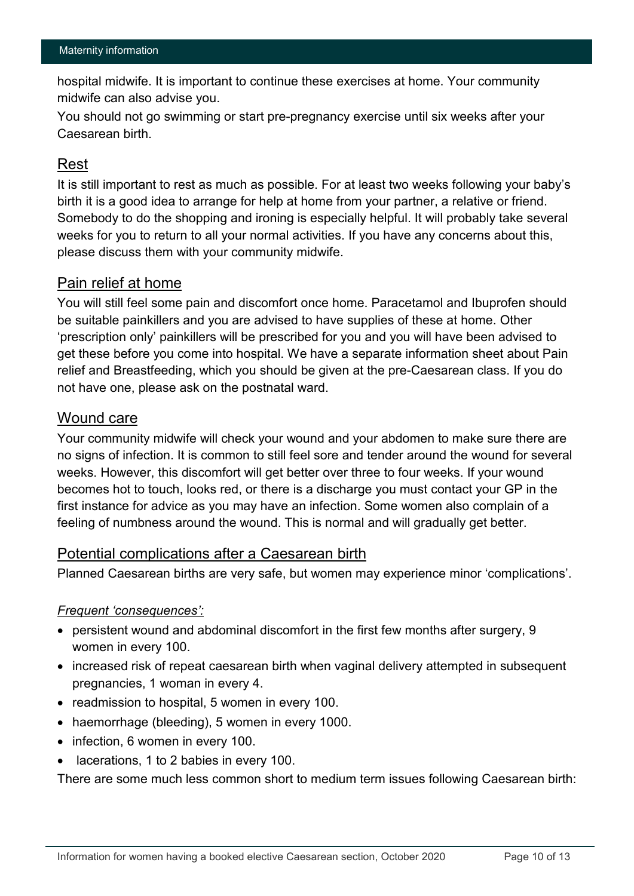hospital midwife. It is important to continue these exercises at home. Your community midwife can also advise you.

You should not go swimming or start pre-pregnancy exercise until six weeks after your Caesarean birth.

## Rest

It is still important to rest as much as possible. For at least two weeks following your baby's birth it is a good idea to arrange for help at home from your partner, a relative or friend. Somebody to do the shopping and ironing is especially helpful. It will probably take several weeks for you to return to all your normal activities. If you have any concerns about this, please discuss them with your community midwife.

## Pain relief at home

You will still feel some pain and discomfort once home. Paracetamol and Ibuprofen should be suitable painkillers and you are advised to have supplies of these at home. Other 'prescription only' painkillers will be prescribed for you and you will have been advised to get these before you come into hospital. We have a separate information sheet about Pain relief and Breastfeeding, which you should be given at the pre-Caesarean class. If you do not have one, please ask on the postnatal ward.

## Wound care

Your community midwife will check your wound and your abdomen to make sure there are no signs of infection. It is common to still feel sore and tender around the wound for several weeks. However, this discomfort will get better over three to four weeks. If your wound becomes hot to touch, looks red, or there is a discharge you must contact your GP in the first instance for advice as you may have an infection. Some women also complain of a feeling of numbness around the wound. This is normal and will gradually get better.

## Potential complications after a Caesarean birth

Planned Caesarean births are very safe, but women may experience minor 'complications'.

#### *Frequent 'consequences':*

- persistent wound and abdominal discomfort in the first few months after surgery, 9 women in every 100.
- increased risk of repeat caesarean birth when vaginal delivery attempted in subsequent pregnancies, 1 woman in every 4.
- readmission to hospital, 5 women in every 100.
- haemorrhage (bleeding), 5 women in every 1000.
- infection, 6 women in every 100.
- lacerations, 1 to 2 babies in every 100.

There are some much less common short to medium term issues following Caesarean birth: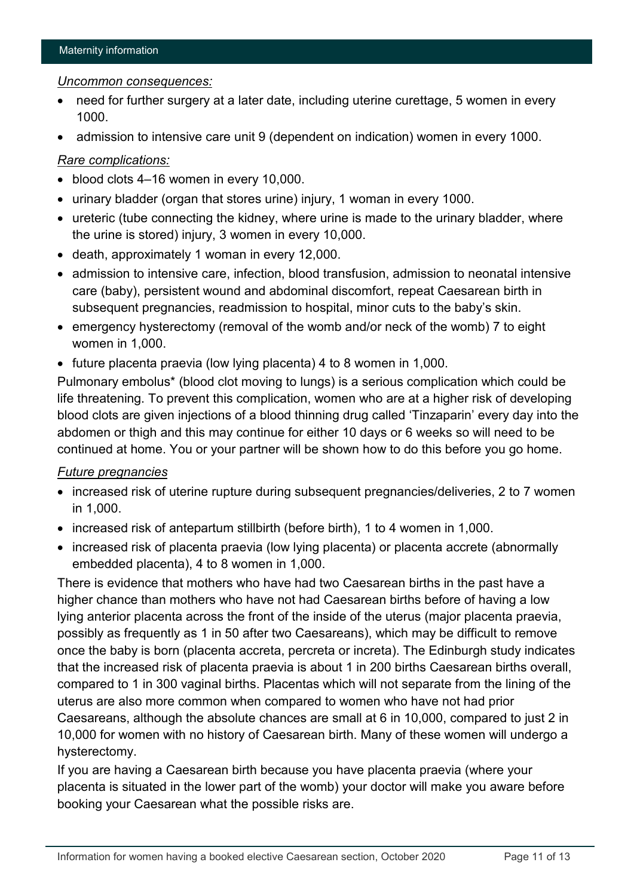#### *Uncommon consequences:*

- need for further surgery at a later date, including uterine curettage, 5 women in every 1000.
- admission to intensive care unit 9 (dependent on indication) women in every 1000.

#### *Rare complications:*

- blood clots 4–16 women in every 10,000.
- urinary bladder (organ that stores urine) injury, 1 woman in every 1000.
- ureteric (tube connecting the kidney, where urine is made to the urinary bladder, where the urine is stored) injury, 3 women in every 10,000.
- death, approximately 1 woman in every 12,000.
- admission to intensive care, infection, blood transfusion, admission to neonatal intensive care (baby), persistent wound and abdominal discomfort, repeat Caesarean birth in subsequent pregnancies, readmission to hospital, minor cuts to the baby's skin.
- emergency hysterectomy (removal of the womb and/or neck of the womb) 7 to eight women in 1,000.
- future placenta praevia (low lying placenta) 4 to 8 women in 1,000.

Pulmonary embolus\* (blood clot moving to lungs) is a serious complication which could be life threatening. To prevent this complication, women who are at a higher risk of developing blood clots are given injections of a blood thinning drug called 'Tinzaparin' every day into the abdomen or thigh and this may continue for either 10 days or 6 weeks so will need to be continued at home. You or your partner will be shown how to do this before you go home.

#### *Future pregnancies*

- increased risk of uterine rupture during subsequent pregnancies/deliveries, 2 to 7 women in 1,000.
- increased risk of antepartum stillbirth (before birth), 1 to 4 women in 1,000.
- increased risk of placenta praevia (low lying placenta) or placenta accrete (abnormally embedded placenta), 4 to 8 women in 1,000.

There is evidence that mothers who have had two Caesarean births in the past have a higher chance than mothers who have not had Caesarean births before of having a low lying anterior placenta across the front of the inside of the uterus (major placenta praevia, possibly as frequently as 1 in 50 after two Caesareans), which may be difficult to remove once the baby is born (placenta accreta, percreta or increta). The Edinburgh study indicates that the increased risk of placenta praevia is about 1 in 200 births Caesarean births overall, compared to 1 in 300 vaginal births. Placentas which will not separate from the lining of the uterus are also more common when compared to women who have not had prior Caesareans, although the absolute chances are small at 6 in 10,000, compared to just 2 in 10,000 for women with no history of Caesarean birth. Many of these women will undergo a hysterectomy.

If you are having a Caesarean birth because you have placenta praevia (where your placenta is situated in the lower part of the womb) your doctor will make you aware before booking your Caesarean what the possible risks are.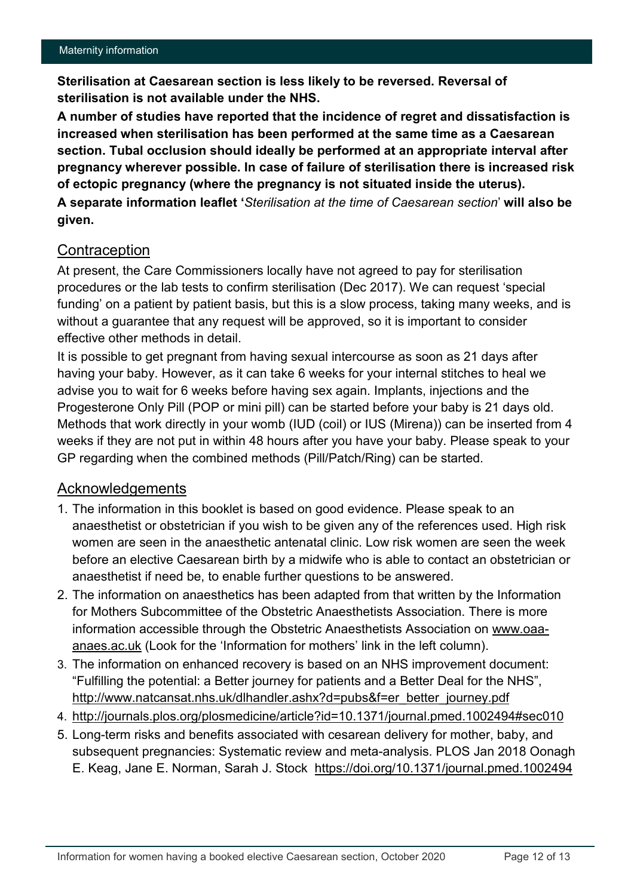**Sterilisation at Caesarean section is less likely to be reversed. Reversal of sterilisation is not available under the NHS.**

**A number of studies have reported that the incidence of regret and dissatisfaction is increased when sterilisation has been performed at the same time as a Caesarean section. Tubal occlusion should ideally be performed at an appropriate interval after pregnancy wherever possible. In case of failure of sterilisation there is increased risk of ectopic pregnancy (where the pregnancy is not situated inside the uterus). A separate information leaflet '***Sterilisation at the time of Caesarean section*' **will also be given.**

## **Contraception**

At present, the Care Commissioners locally have not agreed to pay for sterilisation procedures or the lab tests to confirm sterilisation (Dec 2017). We can request 'special funding' on a patient by patient basis, but this is a slow process, taking many weeks, and is without a guarantee that any request will be approved, so it is important to consider effective other methods in detail.

It is possible to get pregnant from having sexual intercourse as soon as 21 days after having your baby. However, as it can take 6 weeks for your internal stitches to heal we advise you to wait for 6 weeks before having sex again. Implants, injections and the Progesterone Only Pill (POP or mini pill) can be started before your baby is 21 days old. Methods that work directly in your womb (IUD (coil) or IUS (Mirena)) can be inserted from 4 weeks if they are not put in within 48 hours after you have your baby. Please speak to your GP regarding when the combined methods (Pill/Patch/Ring) can be started.

## Acknowledgements

- 1. The information in this booklet is based on good evidence. Please speak to an anaesthetist or obstetrician if you wish to be given any of the references used. High risk women are seen in the anaesthetic antenatal clinic. Low risk women are seen the week before an elective Caesarean birth by a midwife who is able to contact an obstetrician or anaesthetist if need be, to enable further questions to be answered.
- 2. The information on anaesthetics has been adapted from that written by the Information for Mothers Subcommittee of the Obstetric Anaesthetists Association. There is more information accessible through the Obstetric Anaesthetists Association on [www.oaa](http://www.oaa-anaes.ac.uk/)[anaes.ac.uk](http://www.oaa-anaes.ac.uk/) (Look for the 'Information for mothers' link in the left column).
- 3. The information on enhanced recovery is based on an NHS improvement document: "Fulfilling the potential: a Better journey for patients and a Better Deal for the NHS", [http://www.natcansat.nhs.uk/dlhandler.ashx?d=pubs&f=er\\_better\\_journey.pdf](http://www.natcansat.nhs.uk/dlhandler.ashx?d=pubs&f=er_better_journey.pdf)
- 4. [http://journals.plos.org/plosmedicine/article?id=10.1371/journal.pmed.1002494#sec010](http://journals.plos.org/plosmedicine/article?id=10.1371/journal.pmed.1002494)
- 5. Long-term risks and benefits associated with cesarean delivery for mother, baby, and subsequent pregnancies: Systematic review and meta-analysis. PLOS Jan 2018 Oonagh E. Keag, Jane E. Norman, Sarah J. Stock <https://doi.org/10.1371/journal.pmed.1002494>